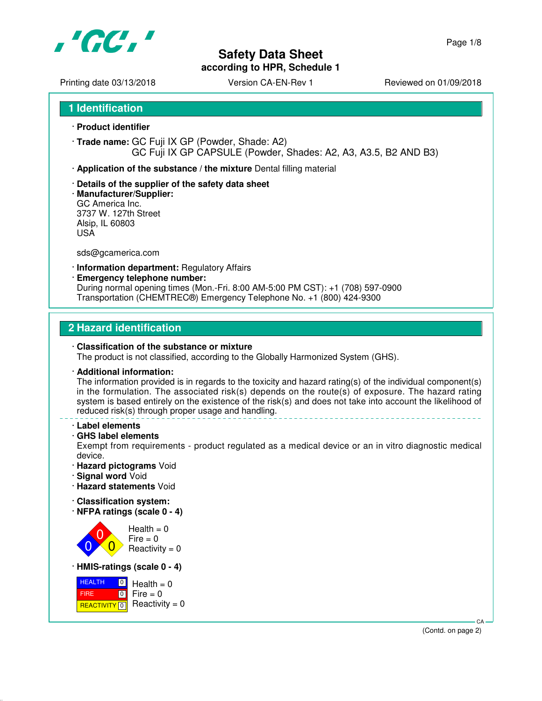

**according to HPR, Schedule 1**

Printing date 03/13/2018 <br>
Version CA-EN-Rev 1 Reviewed on 01/09/2018

**1 Identification**

- · **Product identifier**
- · **Trade name:** GC Fuji IX GP (Powder, Shade: A2) GC Fuji IX GP CAPSULE (Powder, Shades: A2, A3, A3.5, B2 AND B3)
- · **Application of the substance / the mixture** Dental filling material
- · **Details of the supplier of the safety data sheet**
- · **Manufacturer/Supplier:** GC America Inc. 3737 W. 127th Street Alsip, IL 60803 USA

sds@gcamerica.com

- · **Information department:** Regulatory Affairs
- · **Emergency telephone number:**

During normal opening times (Mon.-Fri. 8:00 AM-5:00 PM CST): +1 (708) 597-0900 Transportation (CHEMTREC®) Emergency Telephone No. +1 (800) 424-9300

#### **2 Hazard identification**

#### · **Classification of the substance or mixture** The product is not classified, according to the Globally Harmonized System (GHS).

#### · **Additional information:**

The information provided is in regards to the toxicity and hazard rating(s) of the individual component(s) in the formulation. The associated risk(s) depends on the route(s) of exposure. The hazard rating system is based entirely on the existence of the risk(s) and does not take into account the likelihood of reduced risk(s) through proper usage and handling.

- · **Label elements**
- · **GHS label elements**

Exempt from requirements - product regulated as a medical device or an in vitro diagnostic medical device.

- · **Hazard pictograms** Void
- · **Signal word** Void
- · **Hazard statements** Void
- · **Classification system:**
- · **NFPA ratings (scale 0 4)**



· **HMIS-ratings (scale 0 - 4)**

| $\overline{0}$<br><b>HEALTH</b> | $Health = 0$                                 |
|---------------------------------|----------------------------------------------|
| <b>FIRE</b>                     | $\blacksquare$ 0 $\blacksquare$ Fire = 0     |
|                                 | <b>REACTIVITY</b> $\boxed{0}$ Reactivity = 0 |

 CA (Contd. on page 2)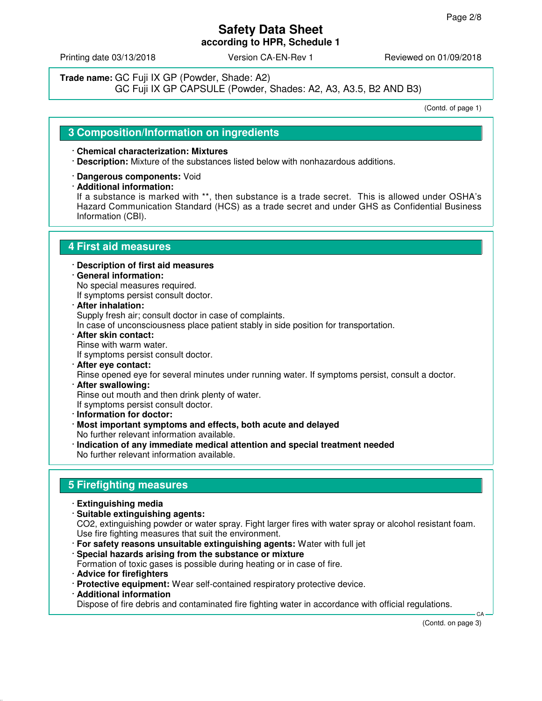Printing date 03/13/2018 Version CA-EN-Rev 1 Reviewed on 01/09/2018

**Trade name:** GC Fuji IX GP (Powder, Shade: A2)

GC Fuji IX GP CAPSULE (Powder, Shades: A2, A3, A3.5, B2 AND B3)

(Contd. of page 1)

## **3 Composition/Information on ingredients**

#### · **Chemical characterization: Mixtures**

- · **Description:** Mixture of the substances listed below with nonhazardous additions.
- · **Dangerous components:** Void
- · **Additional information:**

If a substance is marked with \*\*, then substance is a trade secret. This is allowed under OSHA's Hazard Communication Standard (HCS) as a trade secret and under GHS as Confidential Business Information (CBI).

### **4 First aid measures**

- · **Description of first aid measures**
- · **General information:** No special measures required. If symptoms persist consult doctor.
- · **After inhalation:** Supply fresh air; consult doctor in case of complaints.

In case of unconsciousness place patient stably in side position for transportation.

- · **After skin contact:** Rinse with warm water. If symptoms persist consult doctor.
- · **After eye contact:** Rinse opened eye for several minutes under running water. If symptoms persist, consult a doctor.
- · **After swallowing:** Rinse out mouth and then drink plenty of water. If symptoms persist consult doctor.
- · **Information for doctor:**
- · **Most important symptoms and effects, both acute and delayed** No further relevant information available.
- · **Indication of any immediate medical attention and special treatment needed** No further relevant information available.

# **5 Firefighting measures**

- · **Extinguishing media**
- · **Suitable extinguishing agents:**

CO2, extinguishing powder or water spray. Fight larger fires with water spray or alcohol resistant foam. Use fire fighting measures that suit the environment.

- · **For safety reasons unsuitable extinguishing agents:** Water with full jet
- · **Special hazards arising from the substance or mixture**
- Formation of toxic gases is possible during heating or in case of fire.
- · **Advice for firefighters**
- · **Protective equipment:** Wear self-contained respiratory protective device.
- · **Additional information**

Dispose of fire debris and contaminated fire fighting water in accordance with official regulations.

(Contd. on page 3)

CA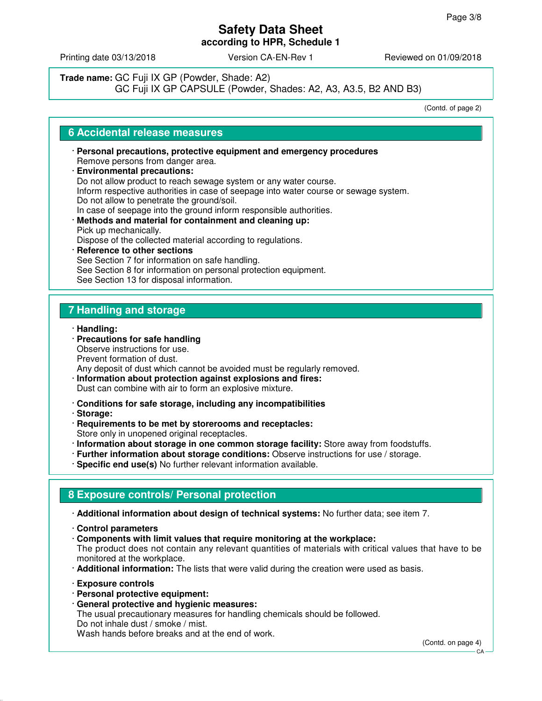Printing date 03/13/2018 **Version CA-EN-Rev 1** Reviewed on 01/09/2018

# **Trade name:** GC Fuji IX GP (Powder, Shade: A2)

GC Fuji IX GP CAPSULE (Powder, Shades: A2, A3, A3.5, B2 AND B3)

(Contd. of page 2)

### **6 Accidental release measures**

- · **Personal precautions, protective equipment and emergency procedures** Remove persons from danger area.
- · **Environmental precautions:** Do not allow product to reach sewage system or any water course. Inform respective authorities in case of seepage into water course or sewage system. Do not allow to penetrate the ground/soil. In case of seepage into the ground inform responsible authorities. · **Methods and material for containment and cleaning up:** Pick up mechanically. Dispose of the collected material according to regulations. · **Reference to other sections**
	- See Section 7 for information on safe handling. See Section 8 for information on personal protection equipment. See Section 13 for disposal information.

# **7 Handling and storage**

- · **Handling:**
- · **Precautions for safe handling** Observe instructions for use. Prevent formation of dust.
- Any deposit of dust which cannot be avoided must be regularly removed.
- · **Information about protection against explosions and fires:** Dust can combine with air to form an explosive mixture.
- · **Conditions for safe storage, including any incompatibilities**
- · **Storage:**
- · **Requirements to be met by storerooms and receptacles:** Store only in unopened original receptacles.
- · **Information about storage in one common storage facility:** Store away from foodstuffs.
- · **Further information about storage conditions:** Observe instructions for use / storage.
- · **Specific end use(s)** No further relevant information available.

# **8 Exposure controls/ Personal protection**

- · **Additional information about design of technical systems:** No further data; see item 7.
- · **Control parameters**
- · **Components with limit values that require monitoring at the workplace:** The product does not contain any relevant quantities of materials with critical values that have to be monitored at the workplace.
- · **Additional information:** The lists that were valid during the creation were used as basis.
- · **Exposure controls**
- · **Personal protective equipment:**
- · **General protective and hygienic measures:**

The usual precautionary measures for handling chemicals should be followed. Do not inhale dust / smoke / mist.

Wash hands before breaks and at the end of work.

(Contd. on page 4)

CA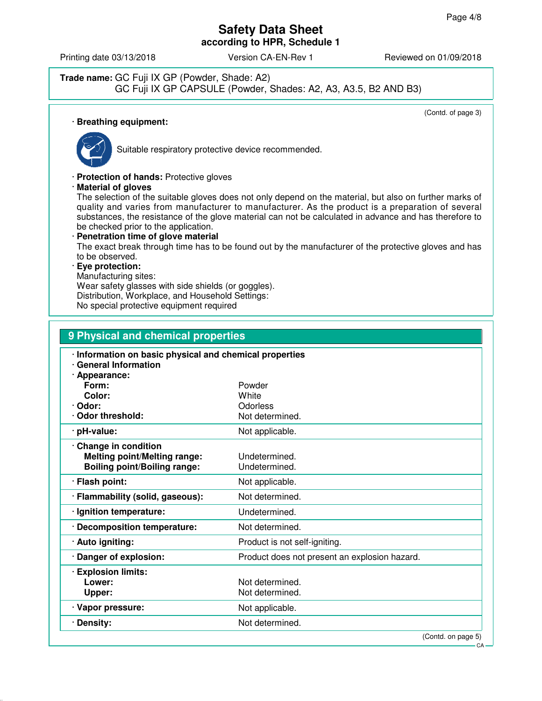Printing date 03/13/2018 **Version CA-EN-Rev 1** Reviewed on 01/09/2018

#### **Trade name:** GC Fuji IX GP (Powder, Shade: A2) GC Fuji IX GP CAPSULE (Powder, Shades: A2, A3, A3.5, B2 AND B3)

(Contd. of page 3)

## · **Breathing equipment:**



Suitable respiratory protective device recommended.

· **Protection of hands:** Protective gloves

· **Material of gloves**

The selection of the suitable gloves does not only depend on the material, but also on further marks of quality and varies from manufacturer to manufacturer. As the product is a preparation of several substances, the resistance of the glove material can not be calculated in advance and has therefore to be checked prior to the application.

· **Penetration time of glove material** The exact break through time has to be found out by the manufacturer of the protective gloves and has to be observed.

#### · **Eye protection:**

Manufacturing sites:

Wear safety glasses with side shields (or goggles). Distribution, Workplace, and Household Settings:

No special protective equipment required

| 9 Physical and chemical properties                                                                  |                                               |  |
|-----------------------------------------------------------------------------------------------------|-----------------------------------------------|--|
| · Information on basic physical and chemical properties<br>· General Information<br>· Appearance:   |                                               |  |
| Form:<br>Color:                                                                                     | Powder<br>White                               |  |
| · Odor:                                                                                             | Odorless                                      |  |
| Odor threshold:                                                                                     | Not determined.                               |  |
| · pH-value:                                                                                         | Not applicable.                               |  |
| · Change in condition<br><b>Melting point/Melting range:</b><br><b>Boiling point/Boiling range:</b> | Undetermined.<br>Undetermined.                |  |
| · Flash point:                                                                                      | Not applicable.                               |  |
| · Flammability (solid, gaseous):                                                                    | Not determined.                               |  |
| · Ignition temperature:                                                                             | Undetermined.                                 |  |
| · Decomposition temperature:                                                                        | Not determined.                               |  |
| · Auto igniting:                                                                                    | Product is not self-igniting.                 |  |
| · Danger of explosion:                                                                              | Product does not present an explosion hazard. |  |
| · Explosion limits:<br>Lower:<br>Upper:                                                             | Not determined.<br>Not determined.            |  |
| · Vapor pressure:                                                                                   | Not applicable.                               |  |
| · Density:                                                                                          | Not determined.                               |  |
|                                                                                                     | (Contd. on page 5)                            |  |

CA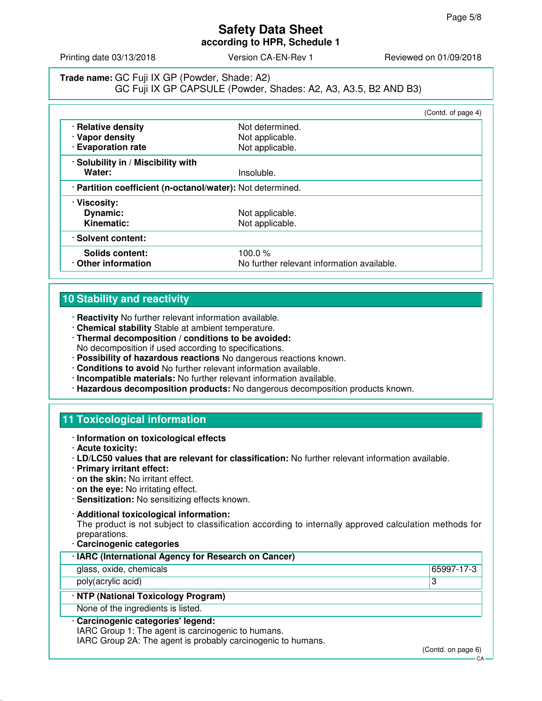**according to HPR, Schedule 1**

Printing date 03/13/2018 **Version CA-EN-Rev 1** Reviewed on 01/09/2018

# **Trade name:** GC Fuji IX GP (Powder, Shade: A2) GC Fuji IX GP CAPSULE (Powder, Shades: A2, A3, A3.5, B2 AND B3)

|                                                            |                                            | (Contd. of page 4) |
|------------------------------------------------------------|--------------------------------------------|--------------------|
| · Relative density                                         | Not determined.                            |                    |
| · Vapor density                                            | Not applicable.                            |                    |
| <b>Evaporation rate</b>                                    | Not applicable.                            |                    |
| · Solubility in / Miscibility with                         |                                            |                    |
| Water:                                                     | Insoluble.                                 |                    |
| · Partition coefficient (n-octanol/water): Not determined. |                                            |                    |
| · Viscosity:                                               |                                            |                    |
| Dynamic:                                                   | Not applicable.                            |                    |
| Kinematic:                                                 | Not applicable.                            |                    |
| · Solvent content:                                         |                                            |                    |
| Solids content:                                            | 100.0 $%$                                  |                    |
| Other information                                          | No further relevant information available. |                    |

# **10 Stability and reactivity**

- · **Reactivity** No further relevant information available.
- · **Chemical stability** Stable at ambient temperature.
- · **Thermal decomposition / conditions to be avoided:** No decomposition if used according to specifications.
- · **Possibility of hazardous reactions** No dangerous reactions known.
- · **Conditions to avoid** No further relevant information available.
- · **Incompatible materials:** No further relevant information available.
- · **Hazardous decomposition products:** No dangerous decomposition products known.

# **11 Toxicological information**

- · **Information on toxicological effects**
- · **Acute toxicity:**
- · **LD/LC50 values that are relevant for classification:** No further relevant information available.
- · **Primary irritant effect:**
- · **on the skin:** No irritant effect.
- · **on the eye:** No irritating effect.
- · **Sensitization:** No sensitizing effects known.
- · **Additional toxicological information:**

The product is not subject to classification according to internally approved calculation methods for preparations.

· **Carcinogenic categories**

| <b>Uarunugunu catugunus</b>                                                                              |            |
|----------------------------------------------------------------------------------------------------------|------------|
| · IARC (International Agency for Research on Cancer)                                                     |            |
| glass, oxide, chemicals                                                                                  | 65997-17-3 |
| poly(acrylic acid)                                                                                       | З          |
| · NTP (National Toxicology Program)                                                                      |            |
| None of the ingredients is listed.                                                                       |            |
| · Carcinogenic categories' legend:<br>$IADO$ $Q_{i}$ $\ldots$ 4. The exect is equal possible to burnease |            |

IARC Group 1: The agent is carcinogenic to humans.

IARC Group 2A: The agent is probably carcinogenic to humans.

(Contd. on page 6)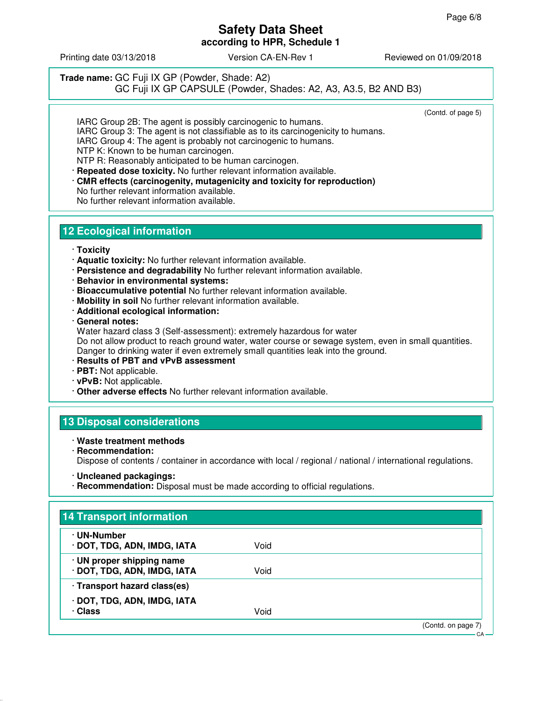**according to HPR, Schedule 1**

Printing date 03/13/2018 **Version CA-EN-Rev 1** Reviewed on 01/09/2018

#### **Trade name:** GC Fuji IX GP (Powder, Shade: A2) GC Fuji IX GP CAPSULE (Powder, Shades: A2, A3, A3.5, B2 AND B3)

(Contd. of page 5)

IARC Group 2B: The agent is possibly carcinogenic to humans. IARC Group 3: The agent is not classifiable as to its carcinogenicity to humans. IARC Group 4: The agent is probably not carcinogenic to humans. NTP K: Known to be human carcinogen. NTP R: Reasonably anticipated to be human carcinogen.

· **Repeated dose toxicity.** No further relevant information available.

· **CMR effects (carcinogenity, mutagenicity and toxicity for reproduction)** No further relevant information available. No further relevant information available.

# **12 Ecological information**

#### · **Toxicity**

- · **Aquatic toxicity:** No further relevant information available.
- · **Persistence and degradability** No further relevant information available.
- · **Behavior in environmental systems:**
- · **Bioaccumulative potential** No further relevant information available.
- · **Mobility in soil** No further relevant information available.
- · **Additional ecological information:**
- · **General notes:**

Water hazard class 3 (Self-assessment): extremely hazardous for water Do not allow product to reach ground water, water course or sewage system, even in small quantities. Danger to drinking water if even extremely small quantities leak into the ground.

- · **Results of PBT and vPvB assessment**
- · **PBT:** Not applicable.
- · **vPvB:** Not applicable.
- · **Other adverse effects** No further relevant information available.

# **13 Disposal considerations**

#### · **Waste treatment methods**

· **Recommendation:** Dispose of contents / container in accordance with local / regional / national / international regulations.

· **Recommendation:** Disposal must be made according to official regulations.

| · UN-Number<br>· DOT, TDG, ADN, IMDG, IATA               | Void |  |
|----------------------------------------------------------|------|--|
|                                                          |      |  |
| · UN proper shipping name<br>· DOT, TDG, ADN, IMDG, IATA | Void |  |
| · Transport hazard class(es)                             |      |  |
| · DOT, TDG, ADN, IMDG, IATA                              |      |  |
| · Class                                                  | Void |  |

<sup>·</sup> **Uncleaned packagings:**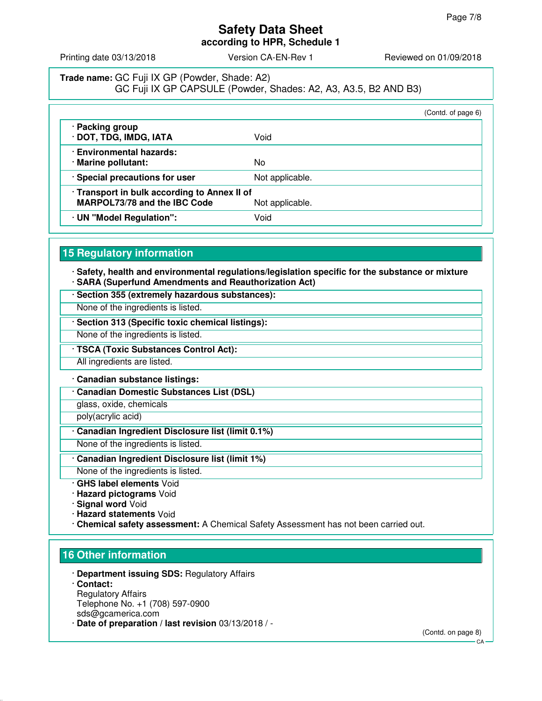**according to HPR, Schedule 1**

Printing date 03/13/2018 **Version CA-EN-Rev 1** Reviewed on 01/09/2018

# **Trade name:** GC Fuji IX GP (Powder, Shade: A2) GC Fuji IX GP CAPSULE (Powder, Shades: A2, A3, A3.5, B2 AND B3)

|                                                                                                        |                 | (Contd. of page 6) |
|--------------------------------------------------------------------------------------------------------|-----------------|--------------------|
| · Packing group<br>· DOT, TDG, IMDG, IATA                                                              | Void            |                    |
| · Environmental hazards:<br>· Marine pollutant:                                                        | No              |                    |
| · Special precautions for user                                                                         | Not applicable. |                    |
| · Transport in bulk according to Annex II of<br><b>MARPOL73/78 and the IBC Code</b><br>Not applicable. |                 |                    |
| · UN "Model Regulation":                                                                               | Void            |                    |

# **15 Regulatory information**

· **Safety, health and environmental regulations/legislation specific for the substance or mixture** · **SARA (Superfund Amendments and Reauthorization Act)**

- · **Section 355 (extremely hazardous substances):**
- None of the ingredients is listed.
- · **Section 313 (Specific toxic chemical listings):**
- None of the ingredients is listed.
- · **TSCA (Toxic Substances Control Act):**
- All ingredients are listed.

#### · **Canadian substance listings:**

· **Canadian Domestic Substances List (DSL)**

glass, oxide, chemicals

poly(acrylic acid)

· **Canadian Ingredient Disclosure list (limit 0.1%)**

None of the ingredients is listed.

- · **Canadian Ingredient Disclosure list (limit 1%)**
- None of the ingredients is listed.
- · **GHS label elements** Void
- · **Hazard pictograms** Void
- · **Signal word** Void
- · **Hazard statements** Void
- · **Chemical safety assessment:** A Chemical Safety Assessment has not been carried out.

## **16 Other information**

- · **Department issuing SDS:** Regulatory Affairs · **Contact:** Regulatory Affairs Telephone No. +1 (708) 597-0900 sds@gcamerica.com
- · **Date of preparation / last revision** 03/13/2018 / -

(Contd. on page 8)

 $C.A$